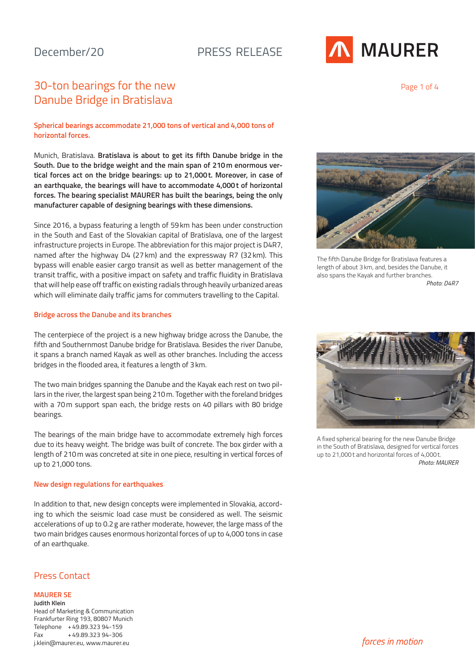

Page 1 of 4

# 30-ton bearings for the new Danube Bridge in Bratislava

### **Spherical bearings accommodate 21,000 tons of vertical and 4,000 tons of horizontal forces.**

Munich, Bratislava. **Bratislava is about to get its fifth Danube bridge in the South. Due to the bridge weight and the main span of 210m enormous vertical forces act on the bridge bearings: up to 21,000t. Moreover, in case of an earthquake, the bearings will have to accommodate 4,000t of horizontal forces. The bearing specialist MAURER has built the bearings, being the only manufacturer capable of designing bearings with these dimensions.**

Since 2016, a bypass featuring a length of 59km has been under construction in the South and East of the Slovakian capital of Bratislava, one of the largest infrastructure projects in Europe. The abbreviation for this major project is D4R7, named after the highway D4 (27km) and the expressway R7 (32km). This bypass will enable easier cargo transit as well as better management of the transit traffic, with a positive impact on safety and traffic fluidity in Bratislava that will help ease off traffic on existing radials through heavily urbanized areas which will eliminate daily traffic jams for commuters travelling to the Capital.

### **Bridge across the Danube and its branches**

The centerpiece of the project is a new highway bridge across the Danube, the fifth and Southernmost Danube bridge for Bratislava. Besides the river Danube, it spans a branch named Kayak as well as other branches. Including the access bridges in the flooded area, it features a length of 3km.

The two main bridges spanning the Danube and the Kayak each rest on two pillars in the river, the largest span being 210m. Together with the foreland bridges with a 70m support span each, the bridge rests on 40 pillars with 80 bridge bearings.

The bearings of the main bridge have to accommodate extremely high forces due to its heavy weight. The bridge was built of concrete. The box girder with a length of 210m was concreted at site in one piece, resulting in vertical forces of up to 21,000 tons.

### **New design regulations for earthquakes**

In addition to that, new design concepts were implemented in Slovakia, according to which the seismic load case must be considered as well. The seismic accelerations of up to 0.2g are rather moderate, however, the large mass of the two main bridges causes enormous horizontal forces of up to 4,000 tons in case of an earthquake.

### Press Contact

### **MAURER SE**

**Judith Klein** Head of Marketing & Communication Frankfurter Ring 193, 80807 Munich Telephone +49.89.323 94-159 Fax +49.89.323 94-306 j.klein@maurer.eu, www.maurer.eu



The fifth Danube Bridge for Bratislava features a length of about 3km, and, besides the Danube, it also spans the Kayak and further branches.

*Photo: D4R7*



A fixed spherical bearing for the new Danube Bridge in the South of Bratislava, designed for vertical forces up to 21,000t and horizontal forces of 4,000t. *Photo: MAURER*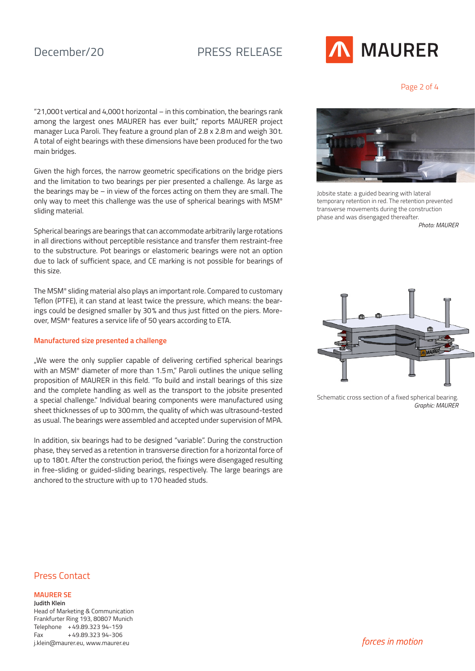## December/20 PRESS RELEASE

# **MAURER**

Page 2 of 4

"21,000t vertical and 4,000t horizontal – in this combination, the bearings rank among the largest ones MAURER has ever built," reports MAURER project manager Luca Paroli. They feature a ground plan of 2.8 x 2.8m and weigh 30t. A total of eight bearings with these dimensions have been produced for the two main bridges.

Given the high forces, the narrow geometric specifications on the bridge piers and the limitation to two bearings per pier presented a challenge. As large as the bearings may be – in view of the forces acting on them they are small. The only way to meet this challenge was the use of spherical bearings with MSM® sliding material.

Spherical bearings are bearings that can accommodate arbitrarily large rotations in all directions without perceptible resistance and transfer them restraint-free to the substructure. Pot bearings or elastomeric bearings were not an option due to lack of sufficient space, and CE marking is not possible for bearings of this size.

The MSM® sliding material also plays an important role. Compared to customary Teflon (PTFE), it can stand at least twice the pressure, which means: the bearings could be designed smaller by 30% and thus just fitted on the piers. Moreover, MSM® features a service life of 50 years according to ETA.

### **Manufactured size presented a challenge**

"We were the only supplier capable of delivering certified spherical bearings with an MSM® diameter of more than 1.5m," Paroli outlines the unique selling proposition of MAURER in this field. "To build and install bearings of this size and the complete handling as well as the transport to the jobsite presented a special challenge." Individual bearing components were manufactured using sheet thicknesses of up to 300mm, the quality of which was ultrasound-tested as usual. The bearings were assembled and accepted under supervision of MPA.

In addition, six bearings had to be designed "variable". During the construction phase, they served as a retention in transverse direction for a horizontal force of up to 180t. After the construction period, the fixings were disengaged resulting in free-sliding or guided-sliding bearings, respectively. The large bearings are anchored to the structure with up to 170 headed studs.



Jobsite state: a guided bearing with lateral temporary retention in red. The retention prevented transverse movements during the construction phase and was disengaged thereafter.

*Photo: MAURER*



Schematic cross section of a fixed spherical bearing. *Graphic: MAURER*

## Press Contact

### **MAURER SE**

**Judith Klein** Head of Marketing & Communication Frankfurter Ring 193, 80807 Munich Telephone +49.89.323 94-159 Fax +49.89.323 94-306 j.klein@maurer.eu, www.maurer.eu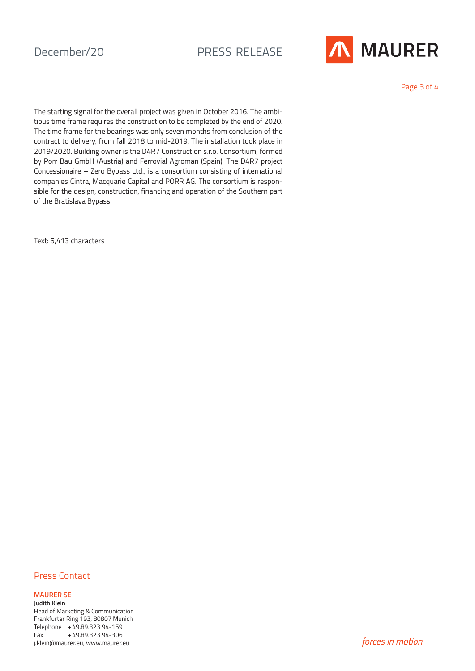



Page 3 of 4

The starting signal for the overall project was given in October 2016. The ambitious time frame requires the construction to be completed by the end of 2020. The time frame for the bearings was only seven months from conclusion of the contract to delivery, from fall 2018 to mid-2019. The installation took place in 2019/2020. Building owner is the D4R7 Construction s.r.o. Consortium, formed by Porr Bau GmbH (Austria) and Ferrovial Agroman (Spain). The D4R7 project Concessionaire – Zero Bypass Ltd., is a consortium consisting of international companies Cintra, Macquarie Capital and PORR AG. The consortium is responsible for the design, construction, financing and operation of the Southern part of the Bratislava Bypass.

Text: 5,413 characters

### Press Contact

### **MAURER SE**

**Judith Klein** Head of Marketing & Communication Frankfurter Ring 193, 80807 Munich Telephone +49.89.323 94-159 Fax +49.89.323 94-306 j.klein@maurer.eu, www.maurer.eu